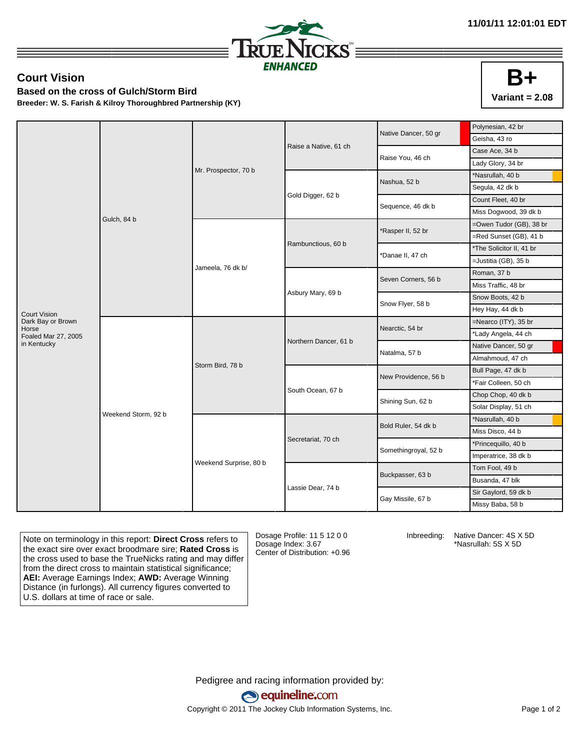

## **Court Vision**

**Based on the cross of Gulch/Storm Bird**

**Breeder: W. S. Farish & Kilroy Thoroughbred Partnership (KY)**

|                            |                     |                        |                       | Native Dancer, 50 gr | Polynesian, 42 br        |
|----------------------------|---------------------|------------------------|-----------------------|----------------------|--------------------------|
|                            | Gulch, 84 b         | Mr. Prospector, 70 b   | Raise a Native, 61 ch |                      | Geisha, 43 ro            |
|                            |                     |                        |                       | Raise You, 46 ch     | Case Ace, 34 b           |
|                            |                     |                        |                       |                      | Lady Glory, 34 br        |
|                            |                     |                        |                       | Nashua, 52 b         | *Nasrullah, 40 b         |
|                            |                     |                        | Gold Digger, 62 b     |                      | Segula, 42 dk b          |
|                            |                     |                        |                       | Sequence, 46 dk b    | Count Fleet, 40 br       |
|                            |                     |                        |                       |                      | Miss Dogwood, 39 dk b    |
|                            |                     | Jameela, 76 dk b/      | Rambunctious, 60 b    | Rasper II, 52 br     | =Owen Tudor (GB), 38 br  |
|                            |                     |                        |                       |                      | =Red Sunset (GB), 41 b   |
|                            |                     |                        |                       | Danae II, 47 ch      | *The Solicitor II, 41 br |
|                            |                     |                        |                       |                      | =Justitia (GB), 35 b     |
|                            |                     |                        | Asbury Mary, 69 b     | Seven Corners, 56 b  | Roman, 37 b              |
|                            |                     |                        |                       |                      | Miss Traffic, 48 br      |
|                            |                     |                        |                       | Snow Flyer, 58 b     | Snow Boots, 42 b         |
| <b>Court Vision</b>        |                     |                        |                       |                      | Hey Hay, 44 dk b         |
| Dark Bay or Brown<br>Horse | Weekend Storm, 92 b | Storm Bird, 78 b       | Northern Dancer, 61 b | Nearctic, 54 br      | =Nearco (ITY), 35 br     |
| Foaled Mar 27, 2005        |                     |                        |                       |                      | *Lady Angela, 44 ch      |
| in Kentucky                |                     |                        |                       | Natalma, 57 b        | Native Dancer, 50 gr     |
|                            |                     |                        |                       |                      | Almahmoud, 47 ch         |
|                            |                     |                        | South Ocean, 67 b     | New Providence, 56 b | Bull Page, 47 dk b       |
|                            |                     |                        |                       |                      | *Fair Colleen, 50 ch     |
|                            |                     |                        |                       | Shining Sun, 62 b    | Chop Chop, 40 dk b       |
|                            |                     |                        |                       |                      | Solar Display, 51 ch     |
|                            |                     | Weekend Surprise, 80 b | Secretariat, 70 ch    | Bold Ruler, 54 dk b  | *Nasrullah, 40 b         |
|                            |                     |                        |                       |                      | Miss Disco, 44 b         |
|                            |                     |                        |                       | Somethingroyal, 52 b | *Princequillo, 40 b      |
|                            |                     |                        |                       |                      | Imperatrice, 38 dk b     |
|                            |                     |                        |                       | Buckpasser, 63 b     | Tom Fool, 49 b           |
|                            |                     |                        | Lassie Dear, 74 b     |                      | Busanda, 47 blk          |
|                            |                     |                        |                       | Gay Missile, 67 b    | Sir Gaylord, 59 dk b     |
|                            |                     |                        |                       |                      | Missy Baba, 58 b         |

Note on terminology in this report: **Direct Cross** refers to the exact sire over exact broodmare sire; **Rated Cross** is the cross used to base the TrueNicks rating and may differ from the direct cross to maintain statistical significance; **AEI:** Average Earnings Index; **AWD:** Average Winning Distance (in furlongs). All currency figures converted to U.S. dollars at time of race or sale.

Dosage Profile: 11 5 12 0 0 Dosage Index: 3.67 Center of Distribution: +0.96 Inbreeding: Native Dancer: 4S X 5D \*Nasrullah: 5S X 5D

Pedigree and racing information provided by: equineline.com Copyright © 2011 The Jockey Club Information Systems, Inc. example 2012 Page 1 of 2